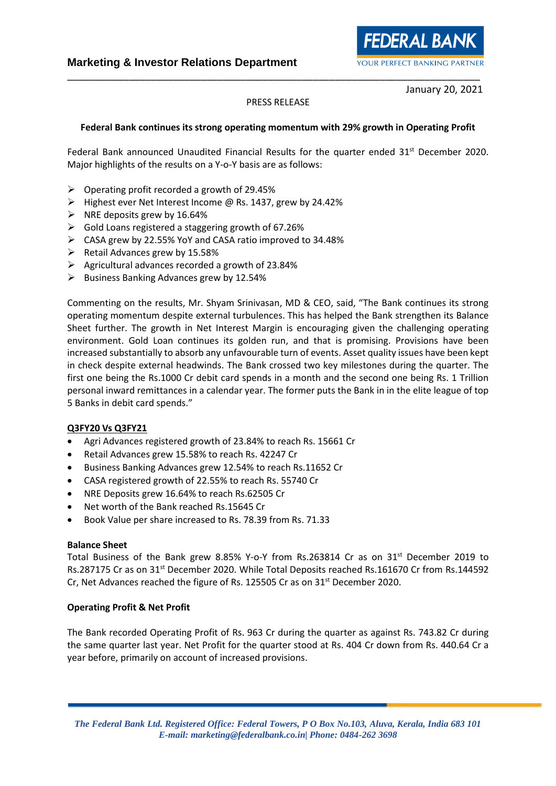January 20, 2021

**FEDERAL BANK** 

YOUR PERFECT BANKING PARTNER

### PRESS RELEASE

\_\_\_\_\_\_\_\_\_\_\_\_\_\_\_\_\_\_\_\_\_\_\_\_\_\_\_\_\_\_\_\_\_\_\_\_\_\_\_\_\_\_\_\_\_\_\_\_\_\_\_\_\_\_\_\_\_\_\_\_\_\_\_\_\_\_\_\_\_\_\_\_\_\_

### **Federal Bank continues its strong operating momentum with 29% growth in Operating Profit**

Federal Bank announced Unaudited Financial Results for the quarter ended 31<sup>st</sup> December 2020. Major highlights of the results on a Y-o-Y basis are as follows:

- $\triangleright$  Operating profit recorded a growth of 29.45%
- ➢ Highest ever Net Interest Income @ Rs. 1437, grew by 24.42%
- $\triangleright$  NRE deposits grew by 16.64%
- ➢ Gold Loans registered a staggering growth of 67.26%
- ➢ CASA grew by 22.55% YoY and CASA ratio improved to 34.48%
- $\triangleright$  Retail Advances grew by 15.58%
- ➢ Agricultural advances recorded a growth of 23.84%
- $\triangleright$  Business Banking Advances grew by 12.54%

Commenting on the results, Mr. Shyam Srinivasan, MD & CEO, said, "The Bank continues its strong operating momentum despite external turbulences. This has helped the Bank strengthen its Balance Sheet further. The growth in Net Interest Margin is encouraging given the challenging operating environment. Gold Loan continues its golden run, and that is promising. Provisions have been increased substantially to absorb any unfavourable turn of events. Asset quality issues have been kept in check despite external headwinds. The Bank crossed two key milestones during the quarter. The first one being the Rs.1000 Cr debit card spends in a month and the second one being Rs. 1 Trillion personal inward remittances in a calendar year. The former puts the Bank in in the elite league of top 5 Banks in debit card spends."

#### **Q3FY20 Vs Q3FY21**

- Agri Advances registered growth of 23.84% to reach Rs. 15661 Cr
- Retail Advances grew 15.58% to reach Rs. 42247 Cr
- Business Banking Advances grew 12.54% to reach Rs.11652 Cr
- CASA registered growth of 22.55% to reach Rs. 55740 Cr
- NRE Deposits grew 16.64% to reach Rs.62505 Cr
- Net worth of the Bank reached Rs.15645 Cr
- Book Value per share increased to Rs. 78.39 from Rs. 71.33

#### **Balance Sheet**

Total Business of the Bank grew 8.85% Y-o-Y from Rs.263814 Cr as on  $31<sup>st</sup>$  December 2019 to Rs.287175 Cr as on 31st December 2020. While Total Deposits reached Rs.161670 Cr from Rs.144592 Cr, Net Advances reached the figure of Rs. 125505 Cr as on 31<sup>st</sup> December 2020.

#### **Operating Profit & Net Profit**

The Bank recorded Operating Profit of Rs. 963 Cr during the quarter as against Rs. 743.82 Cr during the same quarter last year. Net Profit for the quarter stood at Rs. 404 Cr down from Rs. 440.64 Cr a year before, primarily on account of increased provisions.